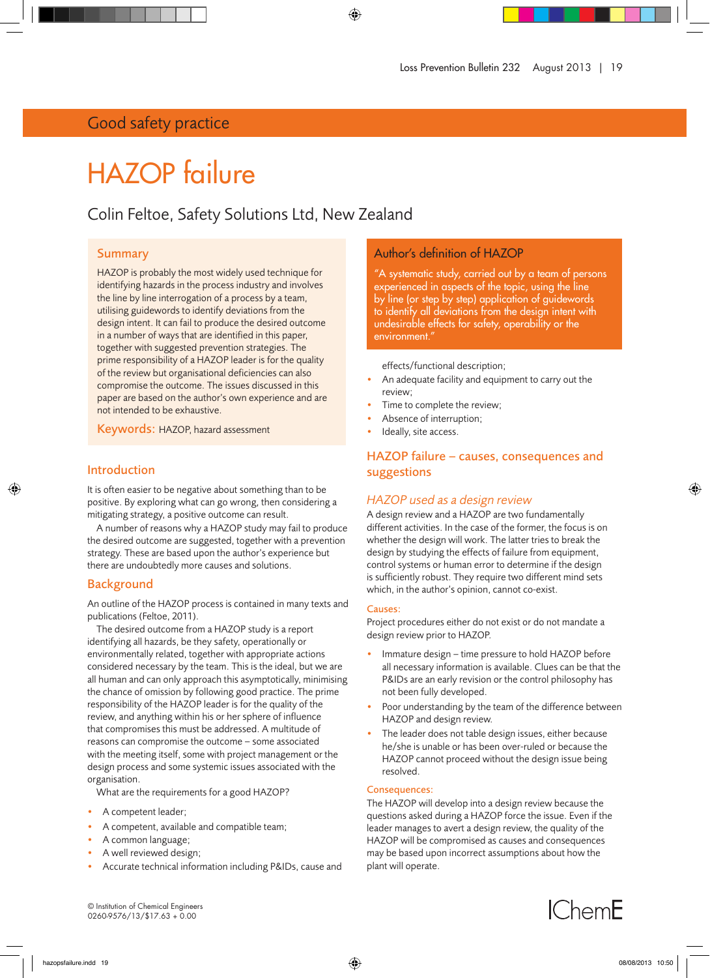# Good safety practice

# HAZOP failure

# Colin Feltoe, Safety Solutions Ltd, New Zealand

# Summary

HAZOP is probably the most widely used technique for identifying hazards in the process industry and involves the line by line interrogation of a process by a team, utilising guidewords to identify deviations from the design intent. It can fail to produce the desired outcome in a number of ways that are identified in this paper, together with suggested prevention strategies. The prime responsibility of a HAZOP leader is for the quality of the review but organisational deficiencies can also compromise the outcome. The issues discussed in this paper are based on the author's own experience and are not intended to be exhaustive.

Keywords: HAZOP, hazard assessment

# Introduction

It is often easier to be negative about something than to be positive. By exploring what can go wrong, then considering a mitigating strategy, a positive outcome can result.

A number of reasons why a HAZOP study may fail to produce the desired outcome are suggested, together with a prevention strategy. These are based upon the author's experience but there are undoubtedly more causes and solutions.

# Background

An outline of the HAZOP process is contained in many texts and publications (Feltoe, 2011).

The desired outcome from a HAZOP study is a report identifying all hazards, be they safety, operationally or environmentally related, together with appropriate actions considered necessary by the team. This is the ideal, but we are all human and can only approach this asymptotically, minimising the chance of omission by following good practice. The prime responsibility of the HAZOP leader is for the quality of the review, and anything within his or her sphere of influence that compromises this must be addressed. A multitude of reasons can compromise the outcome – some associated with the meeting itself, some with project management or the design process and some systemic issues associated with the organisation.

What are the requirements for a good HAZOP?

- A competent leader;
- A competent, available and compatible team;
- A common language;
- A well reviewed design;
- Accurate technical information including P&IDs, cause and

# Author's definition of HAZOP

"A systematic study, carried out by a team of persons experienced in aspects of the topic, using the line by line (or step by step) application of guidewords to identify all deviations from the design intent with undesirable effects for safety, operability or the environment.

effects/functional description;

- An adequate facility and equipment to carry out the review;
- Time to complete the review;
- Absence of interruption;
- Ideally, site access.

# HAZOP failure – causes, consequences and suggestions

# *HAZOP used as a design review*

A design review and a HAZOP are two fundamentally different activities. In the case of the former, the focus is on whether the design will work. The latter tries to break the design by studying the effects of failure from equipment, control systems or human error to determine if the design is sufficiently robust. They require two different mind sets which, in the author's opinion, cannot co-exist.

#### Causes:

Project procedures either do not exist or do not mandate a design review prior to HAZOP.

- Immature design time pressure to hold HAZOP before all necessary information is available. Clues can be that the P&IDs are an early revision or the control philosophy has not been fully developed.
- Poor understanding by the team of the difference between HAZOP and design review.
- The leader does not table design issues, either because he/she is unable or has been over-ruled or because the HAZOP cannot proceed without the design issue being resolved.

#### Consequences:

The HAZOP will develop into a design review because the questions asked during a HAZOP force the issue. Even if the leader manages to avert a design review, the quality of the HAZOP will be compromised as causes and consequences may be based upon incorrect assumptions about how the plant will operate.

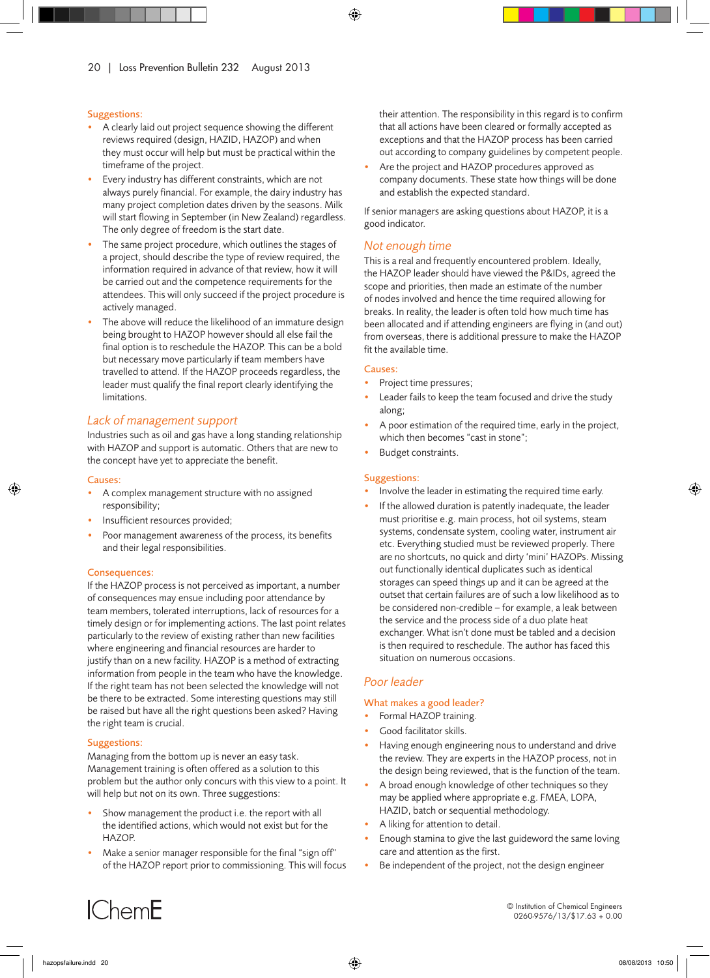#### Suggestions:

- A clearly laid out project sequence showing the different reviews required (design, HAZID, HAZOP) and when they must occur will help but must be practical within the timeframe of the project.
- Every industry has different constraints, which are not always purely financial. For example, the dairy industry has many project completion dates driven by the seasons. Milk will start flowing in September (in New Zealand) regardless. The only degree of freedom is the start date.
- The same project procedure, which outlines the stages of a project, should describe the type of review required, the information required in advance of that review, how it will be carried out and the competence requirements for the attendees. This will only succeed if the project procedure is actively managed.
- The above will reduce the likelihood of an immature design being brought to HAZOP however should all else fail the final option is to reschedule the HAZOP. This can be a bold but necessary move particularly if team members have travelled to attend. If the HAZOP proceeds regardless, the leader must qualify the final report clearly identifying the limitations.

# *Lack of management support*

Industries such as oil and gas have a long standing relationship with HAZOP and support is automatic. Others that are new to the concept have yet to appreciate the benefit.

#### Causes:

- A complex management structure with no assigned responsibility;
- Insufficient resources provided;
- Poor management awareness of the process, its benefits and their legal responsibilities.

#### Consequences:

If the HAZOP process is not perceived as important, a number of consequences may ensue including poor attendance by team members, tolerated interruptions, lack of resources for a timely design or for implementing actions. The last point relates particularly to the review of existing rather than new facilities where engineering and financial resources are harder to justify than on a new facility. HAZOP is a method of extracting information from people in the team who have the knowledge. If the right team has not been selected the knowledge will not be there to be extracted. Some interesting questions may still be raised but have all the right questions been asked? Having the right team is crucial.

#### Suggestions:

Managing from the bottom up is never an easy task. Management training is often offered as a solution to this problem but the author only concurs with this view to a point. It will help but not on its own. Three suggestions:

- Show management the product i.e. the report with all the identified actions, which would not exist but for the HAZOP.
- Make a senior manager responsible for the final "sign off" of the HAZOP report prior to commissioning. This will focus

their attention. The responsibility in this regard is to confirm that all actions have been cleared or formally accepted as exceptions and that the HAZOP process has been carried out according to company guidelines by competent people.

Are the project and HAZOP procedures approved as company documents. These state how things will be done and establish the expected standard.

If senior managers are asking questions about HAZOP, it is a good indicator.

# *Not enough time*

This is a real and frequently encountered problem. Ideally, the HAZOP leader should have viewed the P&IDs, agreed the scope and priorities, then made an estimate of the number of nodes involved and hence the time required allowing for breaks. In reality, the leader is often told how much time has been allocated and if attending engineers are flying in (and out) from overseas, there is additional pressure to make the HAZOP fit the available time.

#### Causes:

- Project time pressures;
- Leader fails to keep the team focused and drive the study along;
- A poor estimation of the required time, early in the project, which then becomes "cast in stone";
- Budget constraints.

#### Suggestions:

- Involve the leader in estimating the required time early.
- If the allowed duration is patently inadequate, the leader must prioritise e.g. main process, hot oil systems, steam systems, condensate system, cooling water, instrument air etc. Everything studied must be reviewed properly. There are no shortcuts, no quick and dirty 'mini' HAZOPs. Missing out functionally identical duplicates such as identical storages can speed things up and it can be agreed at the outset that certain failures are of such a low likelihood as to be considered non-credible – for example, a leak between the service and the process side of a duo plate heat exchanger. What isn't done must be tabled and a decision is then required to reschedule. The author has faced this situation on numerous occasions.

#### *Poor leader*

#### What makes a good leader?

- Formal HAZOP training.
- Good facilitator skills.
- Having enough engineering nous to understand and drive the review. They are experts in the HAZOP process, not in the design being reviewed, that is the function of the team.
- A broad enough knowledge of other techniques so they may be applied where appropriate e.g. FMEA, LOPA, HAZID, batch or sequential methodology.
- A liking for attention to detail.
- Enough stamina to give the last guideword the same loving care and attention as the first.
- Be independent of the project, not the design engineer

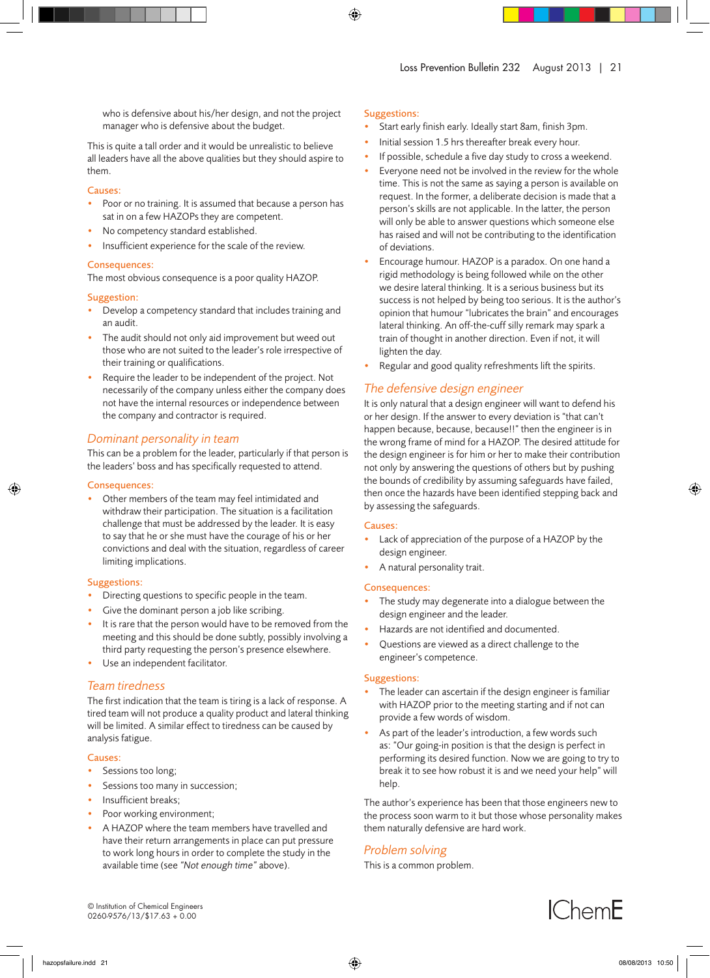who is defensive about his/her design, and not the project manager who is defensive about the budget.

This is quite a tall order and it would be unrealistic to believe all leaders have all the above qualities but they should aspire to them.

#### Causes:

- Poor or no training. It is assumed that because a person has sat in on a few HAZOPs they are competent.
- No competency standard established.
- Insufficient experience for the scale of the review.

#### Consequences:

The most obvious consequence is a poor quality HAZOP.

#### Suggestion:

- Develop a competency standard that includes training and an audit.
- The audit should not only aid improvement but weed out those who are not suited to the leader's role irrespective of their training or qualifications.
- Require the leader to be independent of the project. Not necessarily of the company unless either the company does not have the internal resources or independence between the company and contractor is required.

# *Dominant personality in team*

This can be a problem for the leader, particularly if that person is the leaders' boss and has specifically requested to attend.

#### Consequences:

• Other members of the team may feel intimidated and withdraw their participation. The situation is a facilitation challenge that must be addressed by the leader. It is easy to say that he or she must have the courage of his or her convictions and deal with the situation, regardless of career limiting implications.

#### Suggestions:

- Directing questions to specific people in the team.
- Give the dominant person a job like scribing.
- It is rare that the person would have to be removed from the meeting and this should be done subtly, possibly involving a third party requesting the person's presence elsewhere.
- Use an independent facilitator.

# *Team tiredness*

The first indication that the team is tiring is a lack of response. A tired team will not produce a quality product and lateral thinking will be limited. A similar effect to tiredness can be caused by analysis fatigue.

#### Causes:

- Sessions too long;
- Sessions too many in succession;
- Insufficient breaks;
- Poor working environment;
- A HAZOP where the team members have travelled and have their return arrangements in place can put pressure to work long hours in order to complete the study in the available time (see *"Not enough time"* above).

#### Suggestions:

- Start early finish early. Ideally start 8am, finish 3pm.
- Initial session 1.5 hrs thereafter break every hour.
- If possible, schedule a five day study to cross a weekend.
- Everyone need not be involved in the review for the whole time. This is not the same as saying a person is available on request. In the former, a deliberate decision is made that a person's skills are not applicable. In the latter, the person will only be able to answer questions which someone else has raised and will not be contributing to the identification of deviations.
- Encourage humour. HAZOP is a paradox. On one hand a rigid methodology is being followed while on the other we desire lateral thinking. It is a serious business but its success is not helped by being too serious. It is the author's opinion that humour "lubricates the brain" and encourages lateral thinking. An off-the-cuff silly remark may spark a train of thought in another direction. Even if not, it will lighten the day.
- Regular and good quality refreshments lift the spirits.

# *The defensive design engineer*

It is only natural that a design engineer will want to defend his or her design. If the answer to every deviation is "that can't happen because, because, because!!" then the engineer is in the wrong frame of mind for a HAZOP. The desired attitude for the design engineer is for him or her to make their contribution not only by answering the questions of others but by pushing the bounds of credibility by assuming safeguards have failed, then once the hazards have been identified stepping back and by assessing the safeguards.

#### Causes:

- Lack of appreciation of the purpose of a HAZOP by the design engineer.
- A natural personality trait.

#### Consequences:

- The study may degenerate into a dialogue between the design engineer and the leader.
- Hazards are not identified and documented.
- Questions are viewed as a direct challenge to the engineer's competence.

#### Suggestions:

- The leader can ascertain if the design engineer is familiar with HAZOP prior to the meeting starting and if not can provide a few words of wisdom.
- As part of the leader's introduction, a few words such as: "Our going-in position is that the design is perfect in performing its desired function. Now we are going to try to break it to see how robust it is and we need your help" will help.

The author's experience has been that those engineers new to the process soon warm to it but those whose personality makes them naturally defensive are hard work.

# *Problem solving*

This is a common problem.